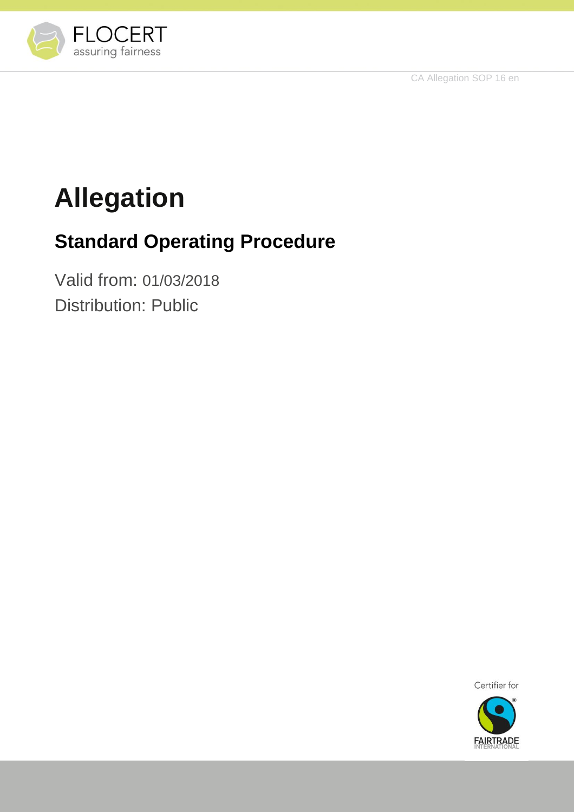CA Allegation SOP 16 en



# **Allegation**

# **Standard Operating Procedure**

Valid from: 01/03/2018 Distribution: Public



**FAIRTRADE**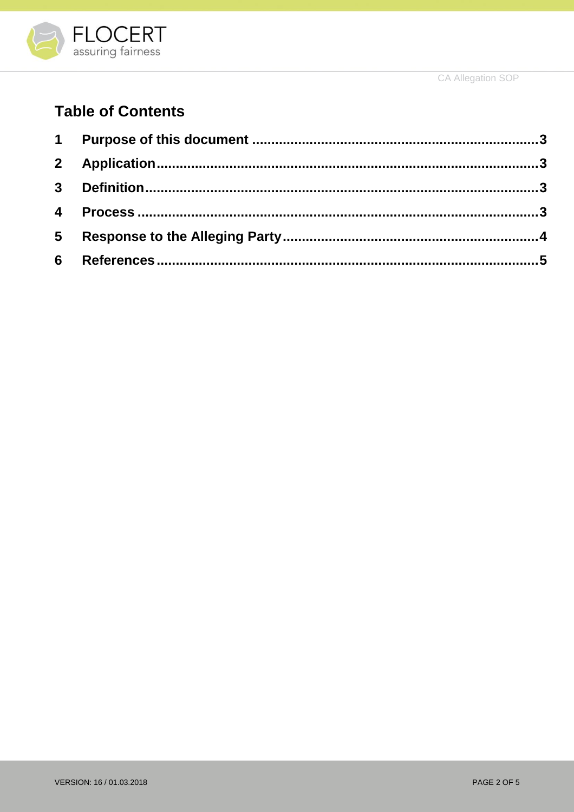

CA Allegation SOP

# **Table of Contents**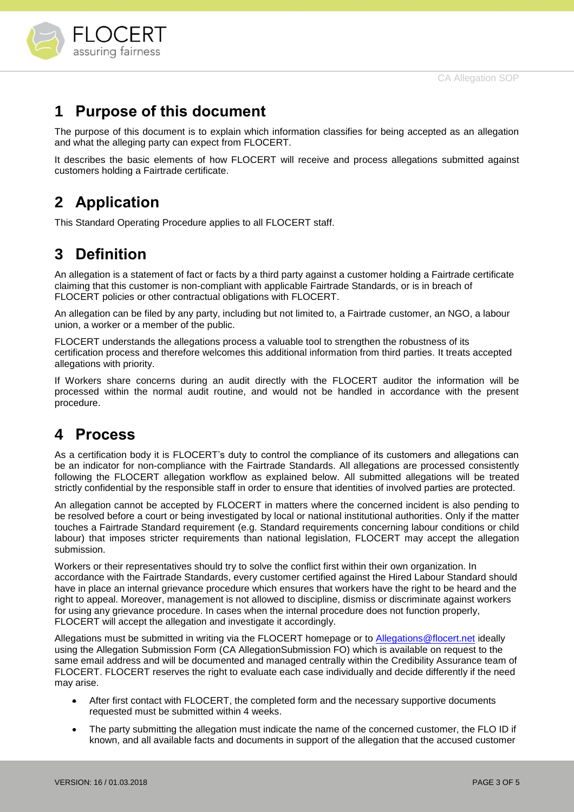

## <span id="page-2-0"></span>**1 Purpose of this document**

The purpose of this document is to explain which information classifies for being accepted as an allegation and what the alleging party can expect from FLOCERT.

It describes the basic elements of how FLOCERT will receive and process allegations submitted against customers holding a Fairtrade certificate.

# <span id="page-2-1"></span>**2 Application**

This Standard Operating Procedure applies to all FLOCERT staff.

# <span id="page-2-2"></span>**3 Definition**

An allegation is a statement of fact or facts by a third party against a customer holding a Fairtrade certificate claiming that this customer is non-compliant with applicable Fairtrade Standards, or is in breach of FLOCERT policies or other contractual obligations with FLOCERT.

An allegation can be filed by any party, including but not limited to, a Fairtrade customer, an NGO, a labour union, a worker or a member of the public.

FLOCERT understands the allegations process a valuable tool to strengthen the robustness of its certification process and therefore welcomes this additional information from third parties. It treats accepted allegations with priority.

If Workers share concerns during an audit directly with the FLOCERT auditor the information will be processed within the normal audit routine, and would not be handled in accordance with the present procedure.

## <span id="page-2-3"></span>**4 Process**

As a certification body it is FLOCERT's duty to control the compliance of its customers and allegations can be an indicator for non-compliance with the Fairtrade Standards. All allegations are processed consistently following the FLOCERT allegation workflow as explained below. All submitted allegations will be treated strictly confidential by the responsible staff in order to ensure that identities of involved parties are protected.

An allegation cannot be accepted by FLOCERT in matters where the concerned incident is also pending to be resolved before a court or being investigated by local or national institutional authorities. Only if the matter touches a Fairtrade Standard requirement (e.g. Standard requirements concerning labour conditions or child labour) that imposes stricter requirements than national legislation, FLOCERT may accept the allegation submission.

Workers or their representatives should try to solve the conflict first within their own organization. In accordance with the Fairtrade Standards, every customer certified against the Hired Labour Standard should have in place an internal grievance procedure which ensures that workers have the right to be heard and the right to appeal. Moreover, management is not allowed to discipline, dismiss or discriminate against workers for using any grievance procedure. In cases when the internal procedure does not function properly, FLOCERT will accept the allegation and investigate it accordingly.

Allegations must be submitted in writing via the FLOCERT homepage or to [Allegations@flocert.net](mailto:Allegations@flocert.net) ideally using the Allegation Submission Form (CA AllegationSubmission FO) which is available on request to the same email address and will be documented and managed centrally within the Credibility Assurance team of FLOCERT. FLOCERT reserves the right to evaluate each case individually and decide differently if the need may arise.

- After first contact with FLOCERT, the completed form and the necessary supportive documents requested must be submitted within 4 weeks.
- The party submitting the allegation must indicate the name of the concerned customer, the FLO ID if known, and all available facts and documents in support of the allegation that the accused customer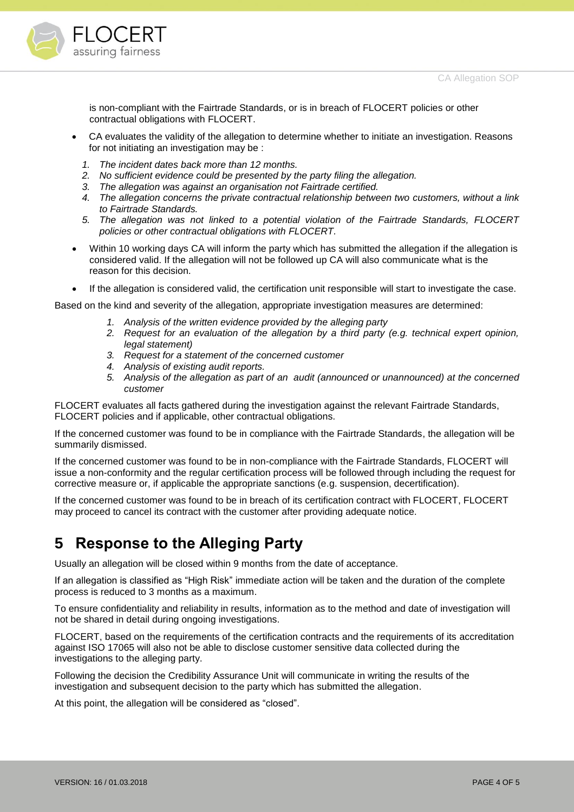

is non-compliant with the Fairtrade Standards, or is in breach of FLOCERT policies or other contractual obligations with FLOCERT.

- CA evaluates the validity of the allegation to determine whether to initiate an investigation. Reasons for not initiating an investigation may be :
	- *1. The incident dates back more than 12 months.*
	- *2. No sufficient evidence could be presented by the party filing the allegation.*
	- *3. The allegation was against an organisation not Fairtrade certified.*
	- *4. The allegation concerns the private contractual relationship between two customers, without a link to Fairtrade Standards.*
	- *5. The allegation was not linked to a potential violation of the Fairtrade Standards, FLOCERT policies or other contractual obligations with FLOCERT.*
- Within 10 working days CA will inform the party which has submitted the allegation if the allegation is considered valid. If the allegation will not be followed up CA will also communicate what is the reason for this decision.
- If the allegation is considered valid, the certification unit responsible will start to investigate the case.

Based on the kind and severity of the allegation, appropriate investigation measures are determined:

- *1. Analysis of the written evidence provided by the alleging party*
- *2. Request for an evaluation of the allegation by a third party (e.g. technical expert opinion, legal statement)*
- *3. Request for a statement of the concerned customer*
- *4. Analysis of existing audit reports.*
- *5. Analysis of the allegation as part of an audit (announced or unannounced) at the concerned customer*

FLOCERT evaluates all facts gathered during the investigation against the relevant Fairtrade Standards, FLOCERT policies and if applicable, other contractual obligations.

If the concerned customer was found to be in compliance with the Fairtrade Standards, the allegation will be summarily dismissed.

If the concerned customer was found to be in non-compliance with the Fairtrade Standards, FLOCERT will issue a non-conformity and the regular certification process will be followed through including the request for corrective measure or, if applicable the appropriate sanctions (e.g. suspension, decertification).

If the concerned customer was found to be in breach of its certification contract with FLOCERT, FLOCERT may proceed to cancel its contract with the customer after providing adequate notice.

## <span id="page-3-0"></span>**5 Response to the Alleging Party**

Usually an allegation will be closed within 9 months from the date of acceptance.

If an allegation is classified as "High Risk" immediate action will be taken and the duration of the complete process is reduced to 3 months as a maximum.

To ensure confidentiality and reliability in results, information as to the method and date of investigation will not be shared in detail during ongoing investigations.

FLOCERT, based on the requirements of the certification contracts and the requirements of its accreditation against ISO 17065 will also not be able to disclose customer sensitive data collected during the investigations to the alleging party.

Following the decision the Credibility Assurance Unit will communicate in writing the results of the investigation and subsequent decision to the party which has submitted the allegation.

At this point, the allegation will be considered as "closed".